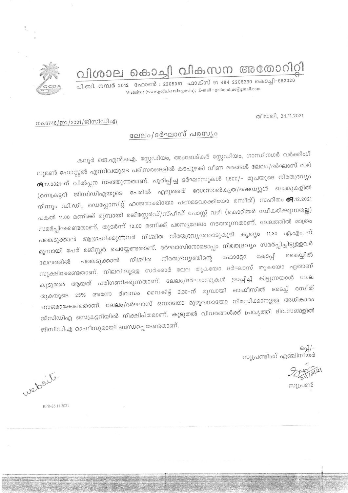വിശാല കൊച്ചി വികസന അതോറിറ്റി

പി.ബി. നമ്പർ 2012 ഫോൺ : 2205061 ഫാക്സ് 91 484 2206230 കൊച്ചി-682020 Website: (www.gcda.kerala.gov.in); E-mail: gcdaonline@gmail.com



തീയതി, 24.11.2021

## നം.6746/ഇ2/2021/ജിസിഡിഎ

## ലേലം/ദർഘാസ് പരസ്യം

കലൂർ ജെ.എൻ.ഐ. സ്റ്റേഡിയം, അംബേദ്കർ സ്റ്റേഡിയം, ഗാന്ധിനഗർ വർക്കിംഗ് വുമൺ ഹോസ്റ്റൽ എന്നിവയുടെ പരിസരങ്ങളിൽ കടപുഴകി വീണ മരങ്ങൾ ലേലം/ദർഘാസ് വഴി 09.12.2021-ന് വിൽപ്പന നടത്തുന്നതാണ്. പൂരിപ്പിച്ച ദർഘാസുകൾ 1,500/- രൂപയുടെ നിരതദ്രവ്യം (സെക്രട്ടറി ജിസിഡിഎയുടെ പേരിൽ എടുത്തത് ദേശസാൽകൃത/ഷെഡ്യൂൾ ബാങ്കുകളിൽ നിന്നും ഡി.ഡി., ഡെപ്പോസിറ്റ് ഹാജരാക്കിയോ പണമടവാക്കിയോ രസീത്) സഹിതം **തിു**.12.2021 പകൽ 11.00 മണിക്ക് മുമ്പായി രജിസ്റ്റേർഡ്/സ്പീഡ് പോസ്റ്റ് വഴി (കൊറിയർ സ്വീകരിക്കുന്നതല്ല) സമർപ്പിക്കേണ്ടതാണ്. തുടർന്ന് 12.00 മണിക്ക് പരസ്യലേലം നടത്തുന്നതാണ്. ലേലത്തിൽ മാത്രം പങ്കെടുക്കാൻ ആഗ്രഹിക്കുന്നവർ നിശ്ചിത നിരതദ്രവ്യത്തോടുകൂടി കൃത്യം 11.30 എ.എം.-ന്. മുമ്പായി പേര് രജിസ്റ്റർ ചെയ്യേണ്ടതാണ്. ദർഘാസിനോടൊപ്പം നിരതദ്രവ്യം സമർപ്പിച്ചിട്ടുള്ളവർ കൈയ്യിൽ கே0்வி ഫോട്ടോ നിരതദ്രവ്യത്തിന്റെ നിശ്ചിത പങ്കെടുക്കാൻ ലേലത്തിൽ സൂക്ഷിക്കേണ്ടതാണ്. നിലവിലുള്ള സർക്കാർ ലേല തുകയോ ദർഘാസ് തുകയോ ഏതാണ് കൂടുതൽ ആയത് പരിഗണിക്കുന്നതാണ്. ലേലം/ദർഘാസുകൾ ഉറപ്പിച്ച് കിട്ടുന്നയാൾ ലേല തുകയുടെ 25% അന്നേ ദിവസം വൈകിട്ട് 3.30–ന് മൂമ്പായി ഓഫീസിൽ അടച്ച് രസീത് ഹാജരാക്കേണ്ടതാണ്. ലേലം/ദർഘാസ് ഒന്നായോ മുഴുവനായോ നിരസിക്കാനുള്ള അധികാരം ജിസിഡിഎ സെക്രട്ടറിയിൽ നിക്ഷിപ്തമാണ്. കൂടുതൽ വിവരങ്ങൾക്ക് പ്രവൃത്തി ദിവസങ്ങളിൽ ജിസിഡിഎ ഓഫീസുമായി ബന്ധപ്പെടേണ്ടതാണ്.

-/[്കെ<br>സൂപ്രണ്ടിംഗ് എഞ്ചിനീയർ

സ്വപണ്ട്

website

RPR-26.11.2021